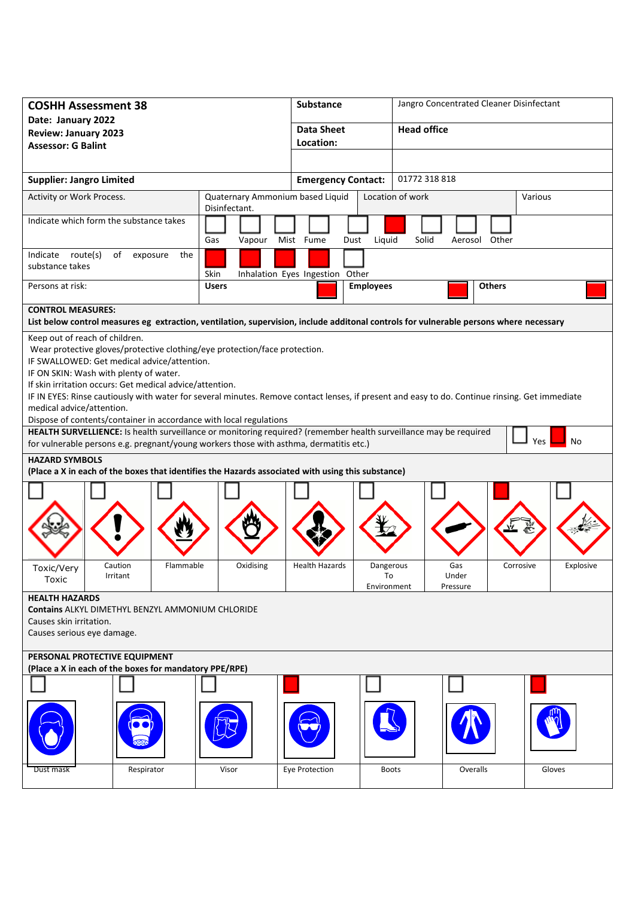| <b>COSHH Assessment 38</b>                                                                                                                                                                                                                                                                                                                                                                                                                                                                                                                                                                                                                                                                                                                                                                                                                                                                                                                                                                                 | Substance             |                                                   | Jangro Concentrated Cleaner Disinfectant |                             |               |                    |  |        |  |
|------------------------------------------------------------------------------------------------------------------------------------------------------------------------------------------------------------------------------------------------------------------------------------------------------------------------------------------------------------------------------------------------------------------------------------------------------------------------------------------------------------------------------------------------------------------------------------------------------------------------------------------------------------------------------------------------------------------------------------------------------------------------------------------------------------------------------------------------------------------------------------------------------------------------------------------------------------------------------------------------------------|-----------------------|---------------------------------------------------|------------------------------------------|-----------------------------|---------------|--------------------|--|--------|--|
| Date: January 2022<br><b>Review: January 2023</b>                                                                                                                                                                                                                                                                                                                                                                                                                                                                                                                                                                                                                                                                                                                                                                                                                                                                                                                                                          |                       |                                                   | <b>Data Sheet</b>                        |                             |               | <b>Head office</b> |  |        |  |
| <b>Assessor: G Balint</b>                                                                                                                                                                                                                                                                                                                                                                                                                                                                                                                                                                                                                                                                                                                                                                                                                                                                                                                                                                                  |                       |                                                   | Location:                                |                             |               |                    |  |        |  |
|                                                                                                                                                                                                                                                                                                                                                                                                                                                                                                                                                                                                                                                                                                                                                                                                                                                                                                                                                                                                            |                       |                                                   |                                          |                             |               |                    |  |        |  |
| <b>Supplier: Jangro Limited</b>                                                                                                                                                                                                                                                                                                                                                                                                                                                                                                                                                                                                                                                                                                                                                                                                                                                                                                                                                                            |                       |                                                   | <b>Emergency Contact:</b>                |                             | 01772 318 818 |                    |  |        |  |
| Activity or Work Process.                                                                                                                                                                                                                                                                                                                                                                                                                                                                                                                                                                                                                                                                                                                                                                                                                                                                                                                                                                                  |                       | Quaternary Ammonium based Liquid<br>Disinfectant. |                                          | Location of work<br>Various |               |                    |  |        |  |
| Indicate which form the substance takes                                                                                                                                                                                                                                                                                                                                                                                                                                                                                                                                                                                                                                                                                                                                                                                                                                                                                                                                                                    |                       | Gas<br>Vapour                                     | Mist Fume<br>Dust                        | Liquid                      | Solid         | Aerosol Other      |  |        |  |
| Indicate route(s)<br>substance takes                                                                                                                                                                                                                                                                                                                                                                                                                                                                                                                                                                                                                                                                                                                                                                                                                                                                                                                                                                       | of<br>the<br>exposure | Skin                                              | Inhalation Eyes Ingestion Other          |                             |               |                    |  |        |  |
| Persons at risk:                                                                                                                                                                                                                                                                                                                                                                                                                                                                                                                                                                                                                                                                                                                                                                                                                                                                                                                                                                                           |                       | <b>Users</b>                                      | <b>Employees</b><br><b>Others</b>        |                             |               |                    |  |        |  |
| <b>CONTROL MEASURES:</b><br>List below control measures eg extraction, ventilation, supervision, include additonal controls for vulnerable persons where necessary                                                                                                                                                                                                                                                                                                                                                                                                                                                                                                                                                                                                                                                                                                                                                                                                                                         |                       |                                                   |                                          |                             |               |                    |  |        |  |
| Keep out of reach of children.<br>Wear protective gloves/protective clothing/eye protection/face protection.<br>IF SWALLOWED: Get medical advice/attention.<br>IF ON SKIN: Wash with plenty of water.<br>If skin irritation occurs: Get medical advice/attention.<br>IF IN EYES: Rinse cautiously with water for several minutes. Remove contact lenses, if present and easy to do. Continue rinsing. Get immediate<br>medical advice/attention.<br>Dispose of contents/container in accordance with local regulations<br>HEALTH SURVELLIENCE: Is health surveillance or monitoring required? (remember health surveillance may be required<br>No<br>Yes<br>for vulnerable persons e.g. pregnant/young workers those with asthma, dermatitis etc.)<br><b>HAZARD SYMBOLS</b><br>(Place a X in each of the boxes that identifies the Hazards associated with using this substance)<br>Flammable<br>Oxidising<br><b>Health Hazards</b><br>Dangerous<br>Gas<br>Corrosive<br>Explosive<br>Caution<br>Toxic/Very |                       |                                                   |                                          |                             |               |                    |  |        |  |
| irritant<br>10<br>under<br>Toxic<br>Environment<br>Pressure<br><b>HEALTH HAZARDS</b><br><b>Contains ALKYL DIMETHYL BENZYL AMMONIUM CHLORIDE</b><br>Causes skin irritation.<br>Causes serious eye damage.                                                                                                                                                                                                                                                                                                                                                                                                                                                                                                                                                                                                                                                                                                                                                                                                   |                       |                                                   |                                          |                             |               |                    |  |        |  |
| PERSONAL PROTECTIVE EQUIPMENT<br>(Place a X in each of the boxes for mandatory PPE/RPE)                                                                                                                                                                                                                                                                                                                                                                                                                                                                                                                                                                                                                                                                                                                                                                                                                                                                                                                    |                       |                                                   |                                          |                             |               |                    |  |        |  |
|                                                                                                                                                                                                                                                                                                                                                                                                                                                                                                                                                                                                                                                                                                                                                                                                                                                                                                                                                                                                            |                       |                                                   |                                          |                             |               |                    |  |        |  |
|                                                                                                                                                                                                                                                                                                                                                                                                                                                                                                                                                                                                                                                                                                                                                                                                                                                                                                                                                                                                            |                       |                                                   |                                          |                             |               |                    |  |        |  |
| Dust mask                                                                                                                                                                                                                                                                                                                                                                                                                                                                                                                                                                                                                                                                                                                                                                                                                                                                                                                                                                                                  | Respirator            | Visor                                             | Eye Protection                           | <b>Boots</b>                |               | Overalls           |  | Gloves |  |